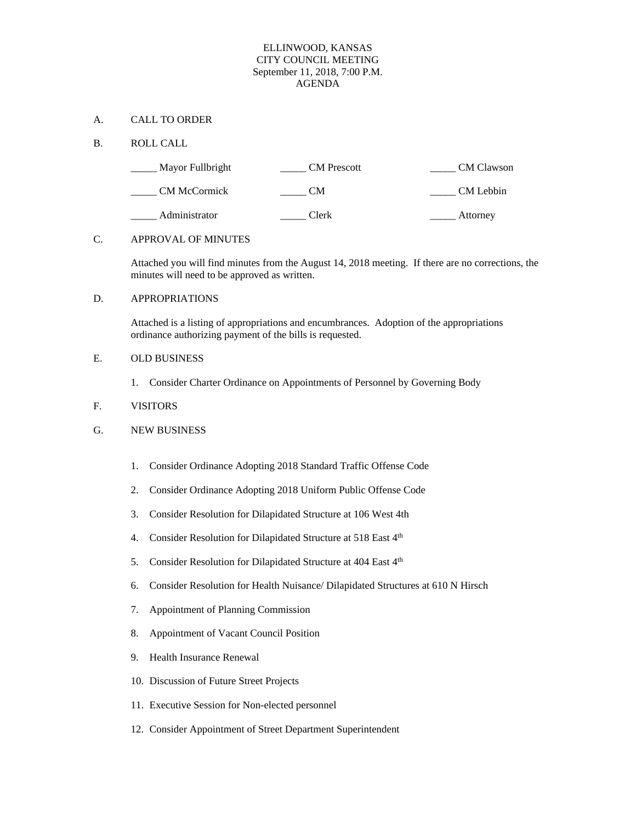# ELLINWOOD, KANSAS CITY COUNCIL MEETING September 11, 2018, 7:00 P.M. AGENDA

# A. CALL TO ORDER

## B. ROLL CALL

| Mayor Fullbright    | <b>CM</b> Prescott | CM Clawson |
|---------------------|--------------------|------------|
| <b>CM McCormick</b> | CМ                 | CM Lebbin  |
| Administrator       | Clerk              | Attorney   |

## C. APPROVAL OF MINUTES

Attached you will find minutes from the August 14, 2018 meeting. If there are no corrections, the minutes will need to be approved as written.

# D. APPROPRIATIONS

Attached is a listing of appropriations and encumbrances. Adoption of the appropriations ordinance authorizing payment of the bills is requested.

## E. OLD BUSINESS

1. Consider Charter Ordinance on Appointments of Personnel by Governing Body

# F. VISITORS

# G. NEW BUSINESS

- 1. Consider Ordinance Adopting 2018 Standard Traffic Offense Code
- 2. Consider Ordinance Adopting 2018 Uniform Public Offense Code
- 3. Consider Resolution for Dilapidated Structure at 106 West 4th
- 4. Consider Resolution for Dilapidated Structure at 518 East 4th
- 5. Consider Resolution for Dilapidated Structure at 404 East 4<sup>th</sup>
- 6. Consider Resolution for Health Nuisance/ Dilapidated Structures at 610 N Hirsch
- 7. Appointment of Planning Commission
- 8. Appointment of Vacant Council Position
- 9. Health Insurance Renewal
- 10. Discussion of Future Street Projects
- 11. Executive Session for Non-elected personnel
- 12. Consider Appointment of Street Department Superintendent